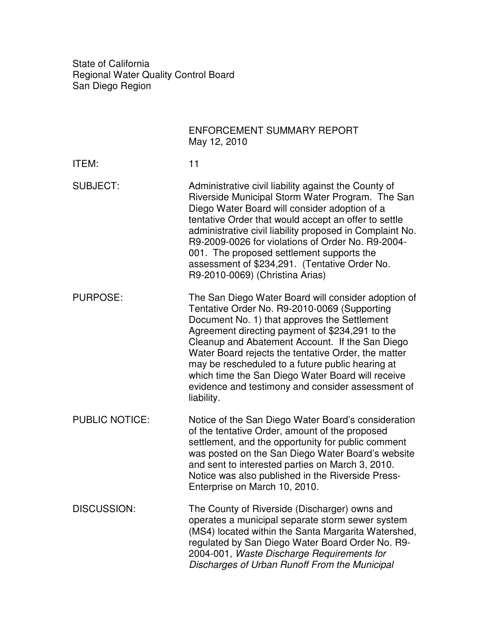State of California Regional Water Quality Control Board San Diego Region

|                       | ENFORCEMENT SUMMARY REPORT<br>May 12, 2010                                                                                                                                                                                                                                                                                                                                                                                                                                                   |
|-----------------------|----------------------------------------------------------------------------------------------------------------------------------------------------------------------------------------------------------------------------------------------------------------------------------------------------------------------------------------------------------------------------------------------------------------------------------------------------------------------------------------------|
| ITEM:                 | 11                                                                                                                                                                                                                                                                                                                                                                                                                                                                                           |
| <b>SUBJECT:</b>       | Administrative civil liability against the County of<br>Riverside Municipal Storm Water Program. The San<br>Diego Water Board will consider adoption of a<br>tentative Order that would accept an offer to settle<br>administrative civil liability proposed in Complaint No.<br>R9-2009-0026 for violations of Order No. R9-2004-<br>001. The proposed settlement supports the<br>assessment of \$234,291. (Tentative Order No.<br>R9-2010-0069) (Christina Arias)                          |
| <b>PURPOSE:</b>       | The San Diego Water Board will consider adoption of<br>Tentative Order No. R9-2010-0069 (Supporting<br>Document No. 1) that approves the Settlement<br>Agreement directing payment of \$234,291 to the<br>Cleanup and Abatement Account. If the San Diego<br>Water Board rejects the tentative Order, the matter<br>may be rescheduled to a future public hearing at<br>which time the San Diego Water Board will receive<br>evidence and testimony and consider assessment of<br>liability. |
| <b>PUBLIC NOTICE:</b> | Notice of the San Diego Water Board's consideration<br>of the tentative Order, amount of the proposed<br>settlement, and the opportunity for public comment<br>was posted on the San Diego Water Board's website<br>and sent to interested parties on March 3, 2010.<br>Notice was also published in the Riverside Press-<br>Enterprise on March 10, 2010.                                                                                                                                   |
| <b>DISCUSSION:</b>    | The County of Riverside (Discharger) owns and<br>operates a municipal separate storm sewer system<br>(MS4) located within the Santa Margarita Watershed,<br>regulated by San Diego Water Board Order No. R9-<br>2004-001, Waste Discharge Requirements for<br>Discharges of Urban Runoff From the Municipal                                                                                                                                                                                  |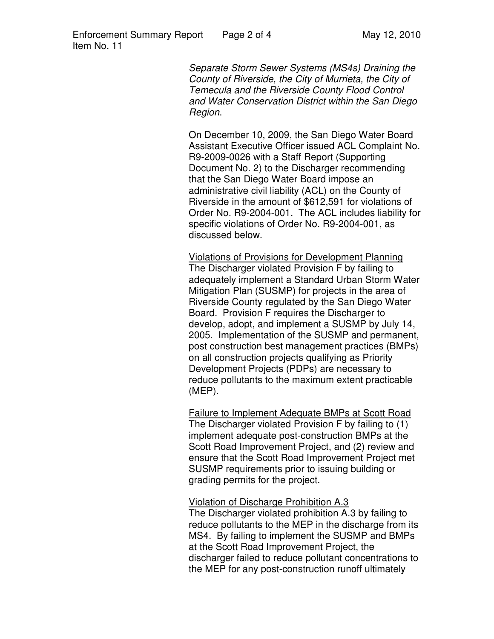Separate Storm Sewer Systems (MS4s) Draining the County of Riverside, the City of Murrieta, the City of Temecula and the Riverside County Flood Control and Water Conservation District within the San Diego Region.

On December 10, 2009, the San Diego Water Board Assistant Executive Officer issued ACL Complaint No. R9-2009-0026 with a Staff Report (Supporting Document No. 2) to the Discharger recommending that the San Diego Water Board impose an administrative civil liability (ACL) on the County of Riverside in the amount of \$612,591 for violations of Order No. R9-2004-001. The ACL includes liability for specific violations of Order No. R9-2004-001, as discussed below.

Violations of Provisions for Development Planning The Discharger violated Provision F by failing to adequately implement a Standard Urban Storm Water Mitigation Plan (SUSMP) for projects in the area of Riverside County regulated by the San Diego Water Board. Provision F requires the Discharger to develop, adopt, and implement a SUSMP by July 14, 2005. Implementation of the SUSMP and permanent, post construction best management practices (BMPs) on all construction projects qualifying as Priority Development Projects (PDPs) are necessary to reduce pollutants to the maximum extent practicable (MEP).

Failure to Implement Adequate BMPs at Scott Road The Discharger violated Provision F by failing to (1) implement adequate post-construction BMPs at the Scott Road Improvement Project, and (2) review and ensure that the Scott Road Improvement Project met SUSMP requirements prior to issuing building or grading permits for the project.

## Violation of Discharge Prohibition A.3

The Discharger violated prohibition A.3 by failing to reduce pollutants to the MEP in the discharge from its MS4. By failing to implement the SUSMP and BMPs at the Scott Road Improvement Project, the discharger failed to reduce pollutant concentrations to the MEP for any post-construction runoff ultimately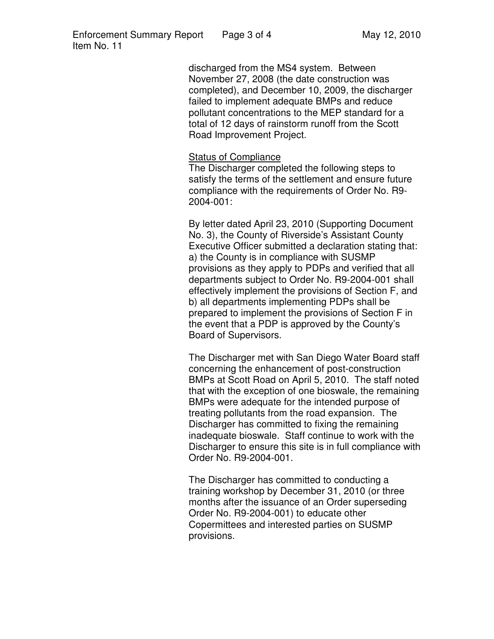discharged from the MS4 system. Between November 27, 2008 (the date construction was completed), and December 10, 2009, the discharger failed to implement adequate BMPs and reduce pollutant concentrations to the MEP standard for a total of 12 days of rainstorm runoff from the Scott Road Improvement Project.

## Status of Compliance

The Discharger completed the following steps to satisfy the terms of the settlement and ensure future compliance with the requirements of Order No. R9- 2004-001:

By letter dated April 23, 2010 (Supporting Document No. 3), the County of Riverside's Assistant County Executive Officer submitted a declaration stating that: a) the County is in compliance with SUSMP provisions as they apply to PDPs and verified that all departments subject to Order No. R9-2004-001 shall effectively implement the provisions of Section F, and b) all departments implementing PDPs shall be prepared to implement the provisions of Section F in the event that a PDP is approved by the County's Board of Supervisors.

The Discharger met with San Diego Water Board staff concerning the enhancement of post-construction BMPs at Scott Road on April 5, 2010. The staff noted that with the exception of one bioswale, the remaining BMPs were adequate for the intended purpose of treating pollutants from the road expansion. The Discharger has committed to fixing the remaining inadequate bioswale. Staff continue to work with the Discharger to ensure this site is in full compliance with Order No. R9-2004-001.

The Discharger has committed to conducting a training workshop by December 31, 2010 (or three months after the issuance of an Order superseding Order No. R9-2004-001) to educate other Copermittees and interested parties on SUSMP provisions.